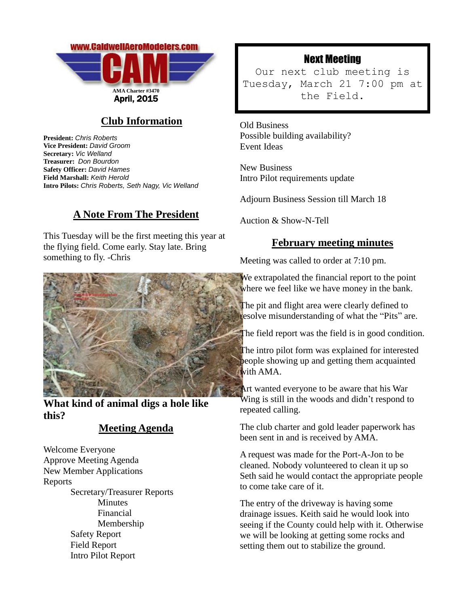

## **Club Information**

**President:** *Chris Roberts* **Vice President:** *David Groom* **Secretary:** *Vic Welland* **Treasurer:** *Don Bourdon* **Safety Officer:** *David Hames* **Field Marshall:** *Keith Herold* **Intro Pilots:** *Chris Roberts, Seth Nagy, Vic Welland*

## **A Note From The President**

This Tuesday will be the first meeting this year at the flying field. Come early. Stay late. Bring something to fly. -Chris



**What kind of animal digs a hole like this?**

## **Meeting Agenda**

Welcome Everyone Approve Meeting Agenda New Member Applications Reports Secretary/Treasurer Reports **Minutes** Financial Membership Safety Report Field Report Intro Pilot Report

# Next Meeting

Our next club meeting is Tuesday, March 21 7:00 pm at the Field.

Old Business Possible building availability? Event Ideas

New Business Intro Pilot requirements update

Adjourn Business Session till March 18

Auction & Show-N-Tell

### **February meeting minutes**

Meeting was called to order at 7:10 pm.

We extrapolated the financial report to the point where we feel like we have money in the bank.

The pit and flight area were clearly defined to resolve misunderstanding of what the "Pits" are.

The field report was the field is in good condition.

The intro pilot form was explained for interested people showing up and getting them acquainted with AMA.

Art wanted everyone to be aware that his War Wing is still in the woods and didn't respond to repeated calling.

The club charter and gold leader paperwork has been sent in and is received by AMA.

A request was made for the Port-A-Jon to be cleaned. Nobody volunteered to clean it up so Seth said he would contact the appropriate people to come take care of it.

The entry of the driveway is having some drainage issues. Keith said he would look into seeing if the County could help with it. Otherwise we will be looking at getting some rocks and setting them out to stabilize the ground.